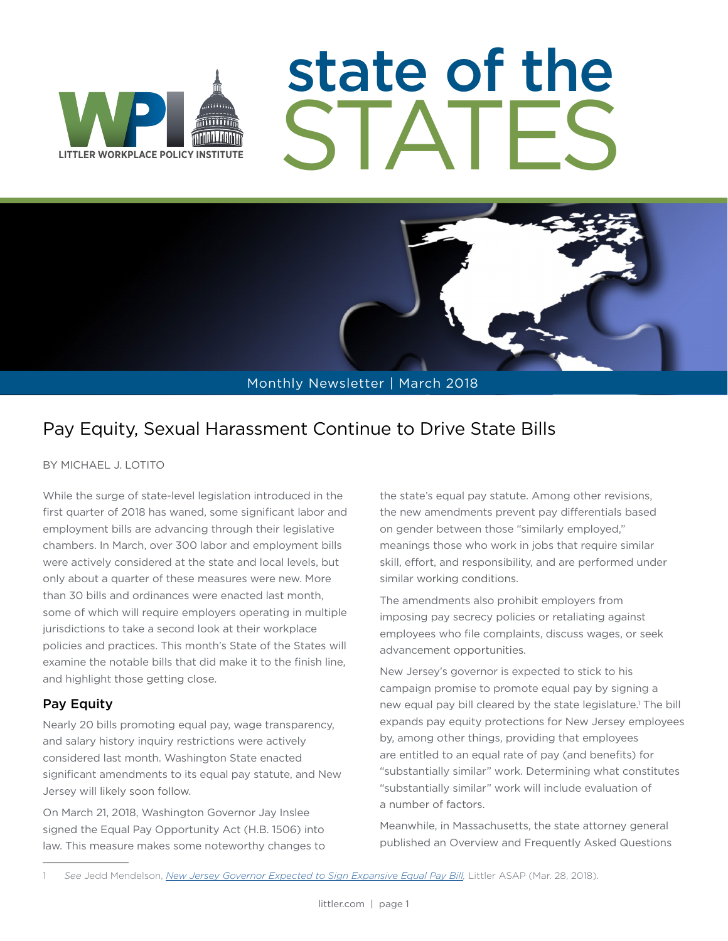

# state of the STATES

Monthly Newsletter | March 2018

### Pay Equity, Sexual Harassment Continue to Drive State Bills

BY MICHAEL J. LOTITO

While the surge of state-level legislation introduced in the first quarter of 2018 has waned, some significant labor and employment bills are advancing through their legislative chambers. In March, over 300 labor and employment bills were actively considered at the state and local levels, but only about a quarter of these measures were new. More than 30 bills and ordinances were enacted last month, some of which will require employers operating in multiple jurisdictions to take a second look at their workplace policies and practices. This month's State of the States will examine the notable bills that did make it to the finish line, and highlight those getting close.

#### Pay Equity

Nearly 20 bills promoting equal pay, wage transparency, and salary history inquiry restrictions were actively considered last month. Washington State enacted significant amendments to its equal pay statute, and New Jersey will likely soon follow.

On March 21, 2018, Washington Governor Jay Inslee signed the Equal Pay Opportunity Act (H.B. 1506) into law. This measure makes some noteworthy changes to

the state's equal pay statute. Among other revisions, the new amendments prevent pay differentials based on gender between those "similarly employed," meanings those who work in jobs that require similar skill, effort, and responsibility, and are performed under similar working conditions.

The amendments also prohibit employers from imposing pay secrecy policies or retaliating against employees who file complaints, discuss wages, or seek advancement opportunities.

New Jersey's governor is expected to stick to his campaign promise to promote equal pay by signing a new equal pay bill cleared by the state legislature.<sup>1</sup> The bill expands pay equity protections for New Jersey employees by, among other things, providing that employees are entitled to an equal rate of pay (and benefits) for "substantially similar" work. Determining what constitutes "substantially similar" work will include evaluation of a number of factors.

Meanwhile, in Massachusetts, the state attorney general published an Overview and Frequently Asked Questions

See Jedd Mendelson, *New Jersey Governor Expected to Sign Expansive Equal Pay Bill*, Littler ASAP (Mar. 28, 2018).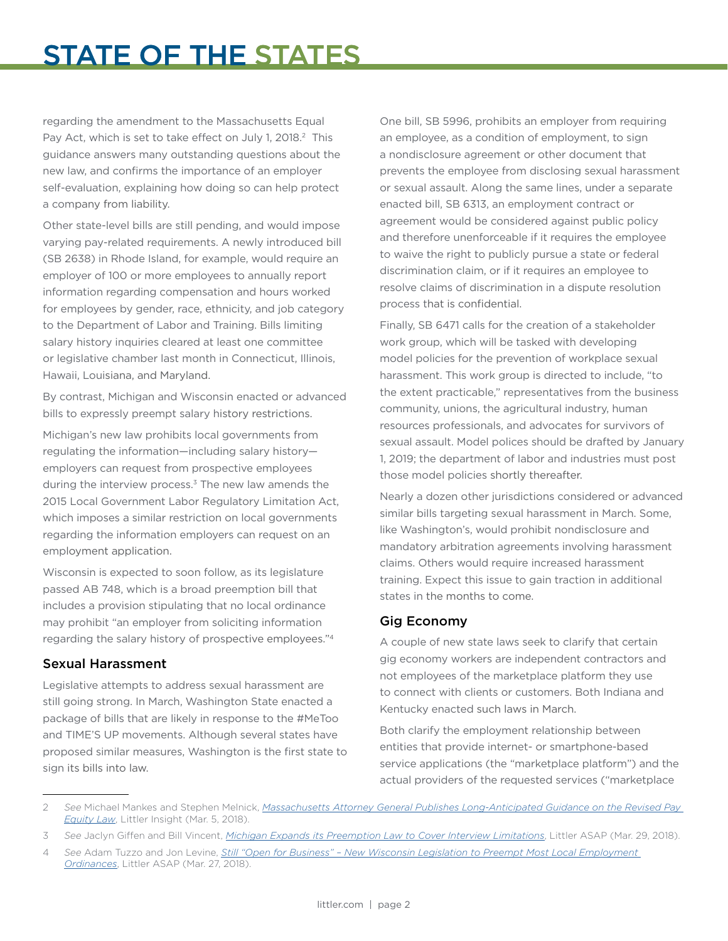## STATE OF THE STATES

regarding the amendment to the Massachusetts Equal Pay Act, which is set to take effect on July 1, 2018.<sup>2</sup> This guidance answers many outstanding questions about the new law, and confirms the importance of an employer self-evaluation, explaining how doing so can help protect a company from liability.

Other state-level bills are still pending, and would impose varying pay-related requirements. A newly introduced bill (SB 2638) in Rhode Island, for example, would require an employer of 100 or more employees to annually report information regarding compensation and hours worked for employees by gender, race, ethnicity, and job category to the Department of Labor and Training. Bills limiting salary history inquiries cleared at least one committee or legislative chamber last month in Connecticut, Illinois, Hawaii, Louisiana, and Maryland.

By contrast, Michigan and Wisconsin enacted or advanced bills to expressly preempt salary history restrictions.

Michigan's new law prohibits local governments from regulating the information—including salary history employers can request from prospective employees during the interview process. $3$  The new law amends the 2015 Local Government Labor Regulatory Limitation Act, which imposes a similar restriction on local governments regarding the information employers can request on an employment application.

Wisconsin is expected to soon follow, as its legislature passed AB 748, which is a broad preemption bill that includes a provision stipulating that no local ordinance may prohibit "an employer from soliciting information regarding the salary history of prospective employees."4

#### Sexual Harassment

Legislative attempts to address sexual harassment are still going strong. In March, Washington State enacted a package of bills that are likely in response to the #MeToo and TIME'S UP movements. Although several states have proposed similar measures, Washington is the first state to sign its bills into law.

One bill, SB 5996, prohibits an employer from requiring an employee, as a condition of employment, to sign a nondisclosure agreement or other document that prevents the employee from disclosing sexual harassment or sexual assault. Along the same lines, under a separate enacted bill, SB 6313, an employment contract or agreement would be considered against public policy and therefore unenforceable if it requires the employee to waive the right to publicly pursue a state or federal discrimination claim, or if it requires an employee to resolve claims of discrimination in a dispute resolution process that is confidential.

Finally, SB 6471 calls for the creation of a stakeholder work group, which will be tasked with developing model policies for the prevention of workplace sexual harassment. This work group is directed to include, "to the extent practicable," representatives from the business community, unions, the agricultural industry, human resources professionals, and advocates for survivors of sexual assault. Model polices should be drafted by January 1, 2019; the department of labor and industries must post those model policies shortly thereafter.

Nearly a dozen other jurisdictions considered or advanced similar bills targeting sexual harassment in March. Some, like Washington's, would prohibit nondisclosure and mandatory arbitration agreements involving harassment claims. Others would require increased harassment training. Expect this issue to gain traction in additional states in the months to come.

#### Gig Economy

A couple of new state laws seek to clarify that certain gig economy workers are independent contractors and not employees of the marketplace platform they use to connect with clients or customers. Both Indiana and Kentucky enacted such laws in March.

Both clarify the employment relationship between entities that provide internet- or smartphone-based service applications (the "marketplace platform") and the actual providers of the requested services ("marketplace

<sup>2</sup> *See* Michael Mankes and Stephen Melnick, *[Massachusetts Attorney General Publishes Long-Anticipated Guidance on the Revised Pay](https://www.littler.com/publication-press/publication/massachusetts-attorney-general-publishes-long-anticipated-guidance)  [Equity Law](https://www.littler.com/publication-press/publication/massachusetts-attorney-general-publishes-long-anticipated-guidance)*, Littler Insight (Mar. 5, 2018).

<sup>3</sup> *See* Jaclyn Giffen and Bill Vincent, *[Michigan Expands its Preemption Law to Cover Interview Limitations](https://www.littler.com/publication-press/publication/michigan-expands-its-preemption-law-cover-interview-limitations)*, Littler ASAP (Mar. 29, 2018).

<sup>4</sup> *See* Adam Tuzzo and Jon Levine, *[Still "Open for Business" – New Wisconsin Legislation to Preempt Most Local Employment](https://www.littler.com/publication-press/publication/still-open-business-%E2%80%93-new-wisconsin-legislation-preempt-most-local)  [Ordinances](https://www.littler.com/publication-press/publication/still-open-business-%E2%80%93-new-wisconsin-legislation-preempt-most-local)*, Littler ASAP (Mar. 27, 2018).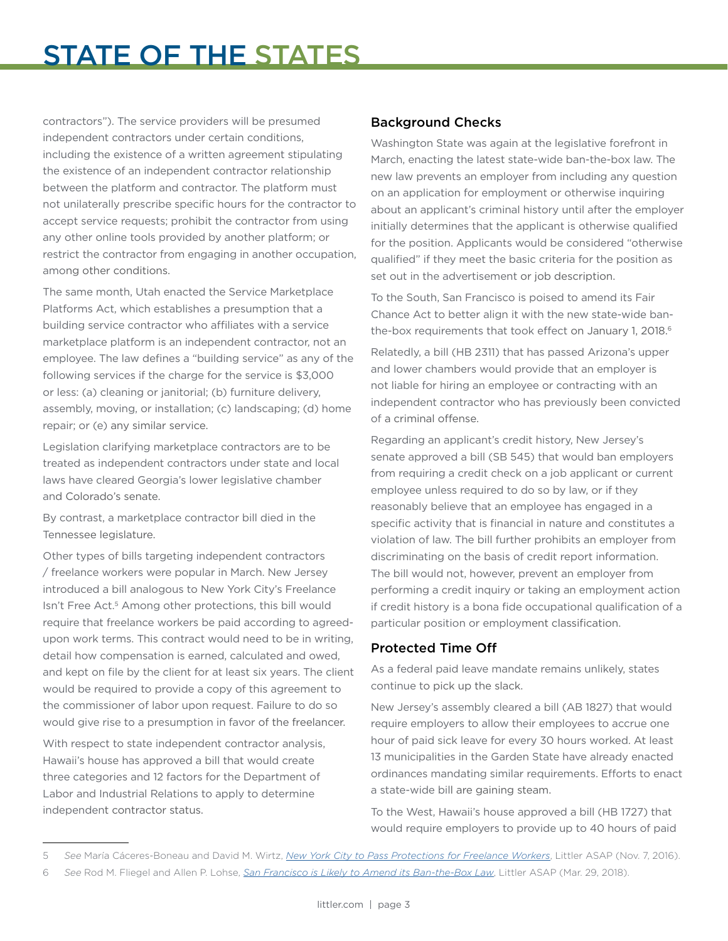## STATE OF THE STATES

contractors"). The service providers will be presumed independent contractors under certain conditions, including the existence of a written agreement stipulating the existence of an independent contractor relationship between the platform and contractor. The platform must not unilaterally prescribe specific hours for the contractor to accept service requests; prohibit the contractor from using any other online tools provided by another platform; or restrict the contractor from engaging in another occupation, among other conditions.

The same month, Utah enacted the Service Marketplace Platforms Act, which establishes a presumption that a building service contractor who affiliates with a service marketplace platform is an independent contractor, not an employee. The law defines a "building service" as any of the following services if the charge for the service is \$3,000 or less: (a) cleaning or janitorial; (b) furniture delivery, assembly, moving, or installation; (c) landscaping; (d) home repair; or (e) any similar service.

Legislation clarifying marketplace contractors are to be treated as independent contractors under state and local laws have cleared Georgia's lower legislative chamber and Colorado's senate.

By contrast, a marketplace contractor bill died in the Tennessee legislature.

Other types of bills targeting independent contractors / freelance workers were popular in March. New Jersey introduced a bill analogous to New York City's Freelance Isn't Free Act.<sup>5</sup> Among other protections, this bill would require that freelance workers be paid according to agreedupon work terms. This contract would need to be in writing, detail how compensation is earned, calculated and owed, and kept on file by the client for at least six years. The client would be required to provide a copy of this agreement to the commissioner of labor upon request. Failure to do so would give rise to a presumption in favor of the freelancer.

With respect to state independent contractor analysis. Hawaii's house has approved a bill that would create three categories and 12 factors for the Department of Labor and Industrial Relations to apply to determine independent contractor status.

#### Background Checks

Washington State was again at the legislative forefront in March, enacting the latest state-wide ban-the-box law. The new law prevents an employer from including any question on an application for employment or otherwise inquiring about an applicant's criminal history until after the employer initially determines that the applicant is otherwise qualified for the position. Applicants would be considered "otherwise qualified" if they meet the basic criteria for the position as set out in the advertisement or job description.

To the South, San Francisco is poised to amend its Fair Chance Act to better align it with the new state-wide banthe-box requirements that took effect on January 1, 2018.<sup>6</sup>

Relatedly, a bill (HB 2311) that has passed Arizona's upper and lower chambers would provide that an employer is not liable for hiring an employee or contracting with an independent contractor who has previously been convicted of a criminal offense.

Regarding an applicant's credit history, New Jersey's senate approved a bill (SB 545) that would ban employers from requiring a credit check on a job applicant or current employee unless required to do so by law, or if they reasonably believe that an employee has engaged in a specific activity that is financial in nature and constitutes a violation of law. The bill further prohibits an employer from discriminating on the basis of credit report information. The bill would not, however, prevent an employer from performing a credit inquiry or taking an employment action if credit history is a bona fide occupational qualification of a particular position or employment classification.

#### Protected Time Off

As a federal paid leave mandate remains unlikely, states continue to pick up the slack.

New Jersey's assembly cleared a bill (AB 1827) that would require employers to allow their employees to accrue one hour of paid sick leave for every 30 hours worked. At least 13 municipalities in the Garden State have already enacted ordinances mandating similar requirements. Efforts to enact a state-wide bill are gaining steam.

To the West, Hawaii's house approved a bill (HB 1727) that would require employers to provide up to 40 hours of paid

<sup>5</sup> *See* María Cáceres-Boneau and David M. Wirtz, *[New York City to Pass Protections for Freelance Workers](https://www.littler.com/publication-press/publication/new-york-city-pass-protections-freelance-workers)*, Littler ASAP (Nov. 7, 2016).

<sup>6</sup> *See* Rod M. Fliegel and Allen P. Lohse, *[San Francisco is Likely to Amend its Ban-the-Box Law](https://www.littler.com/publication-press/publication/san-francisco-likely-amend-its-ban-box-law)*, Littler ASAP (Mar. 29, 2018).